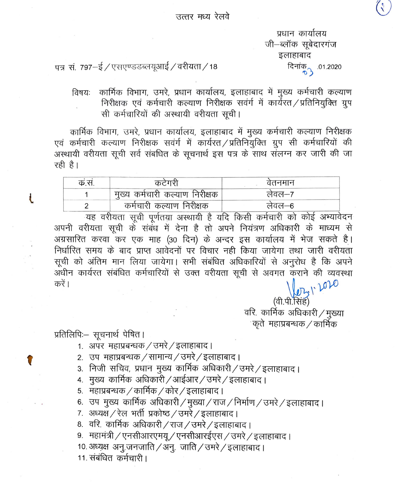प्रधान कार्यालय जी–ब्लॉक सूबेदारगंज इलाहाबाद दिनांक<sub>3.01.2020</sub>

पत्र सं. 797-ई / एसएण्डडब्लयूआई / वरीयता / 18

## कार्मिक विभाग, उमरे, प्रधान कार्यालय, इलाहाबाद में मुख्य कर्मचारी कल्याण विषयः निरीक्षक एवं कर्मचारी कल्याण निरीक्षक सवंर्ग में कार्यरत / प्रतिनियुक्ति ग्रुप सी कर्मचारियों की अस्थायी वरीयता सूची।

कार्मिक विभाग, उमरे, प्रधान कार्यालय, इलाहाबाद में मुख्य कर्मचारी कल्याण निरीक्षक एवं कर्मचारी कल्याण निरीक्षक सवर्ग में कार्यरत / प्रतिनियुक्ति ग्रुप सी कर्मचारियों की अस्थायी वरीयता सूची सर्व संबधित के सूचनार्थ इस पत्र के साथ संलग्न कर जारी की जा रही है।

| क.स. | कटेगरी                         | वेतनमान |
|------|--------------------------------|---------|
|      | मुख्य कर्मचारी कल्याण निरीक्षक | लेवल—7  |
|      | कर्मचारी कल्याण निरीक्षक       | लवल–6   |

यह वरीयता सूची पूर्णतया अस्थायी है यदि किसी कर्मचारी को कोई अभ्यावेदन अपनी वरीयता सूची के संबंध में देना है तो अपने नियंत्रण अधिकारी के माध्यम से अग्रसारित करवा कर एक माह (30 दिन) के अन्दर इस कार्यालय में भेज सकते है। निर्धारित समय के बाद प्राप्त आवेदनों पर विचार नही किया जायेगा तथा जारी वरीयता सूची को अंतिम मान लिया जायेगा। सभी संबंधित अधिकारियों से अनुरोध है कि अपने अधीन कार्यरत संबंधित कर्मचारियों से उक्त वरीयता सूची से अवगत कराने की व्यवस्था करें ।

 $(D, \mathcal{V})$ वरि. कार्मिक अधिकारी / मुख्या `कृते) महाप्रबन्धक / कार्मिक

प्रतिलिपिः– सूचनार्थ पेषित ।

t

7

- 1. अपर महाप्रबन्धक / उमरे / इलाहाबाद।
- 2. उप महाप्रबन्धक / सामान्य / उमरे / इलाहाबाद ।
- 3. निजी सचिव, प्रधान मुख्य कार्मिक अधिकारी / उमरे / इलाहाबाद।
- 4. मुख्य कार्मिक अधिकारी /आईआर / उमरे / इलाहाबाद।
- 5. महाप्रबन्धक / कार्मिक / कोर / इलाहाबाद ।
- 6. उप मुख्य कार्मिक अधिकारी / मुख्या / राज / निर्माण / उमरे / इलाहाबाद ।
- 7. अध्यक्ष / रेल भर्ती प्रकोष्ठ / उमरे / इलाहाबाद।
- 8. वरि. कार्मिक अधिकारी / राज / उमरे / इलाहाबाद।
- 9. महामंत्री / एनसीआरएमयू / एनसीआरईएस / उमरे / इलाहाबाद।
- 10 अध्यक्ष अनु जनजाति ⁄ अनु. जाति ⁄ उमरे ⁄ इलाहाबाद ।
- 11. संबंधित कर्मचारी।